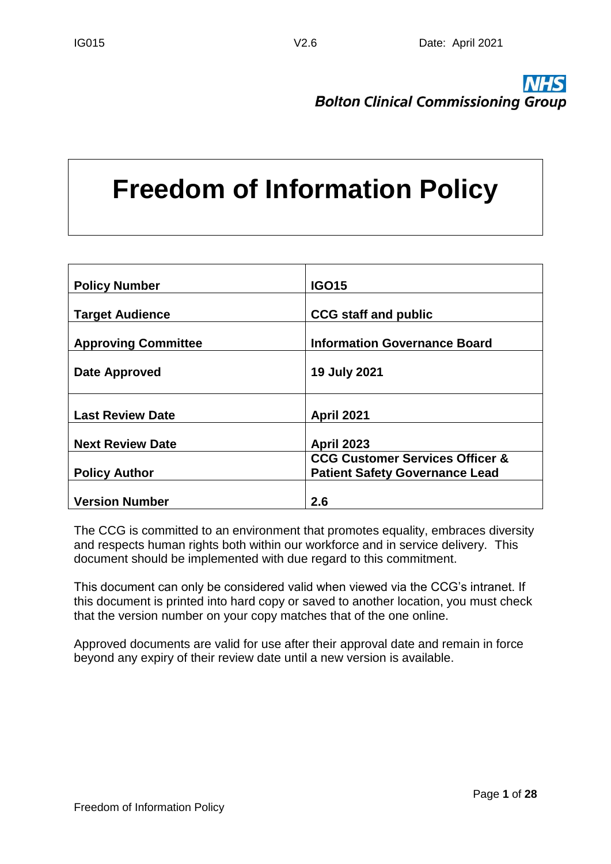**Bolton Clinical Commissioning Group** 

# **Freedom of Information Policy**

| <b>Policy Number</b>       | <b>IGO15</b>                                                                        |
|----------------------------|-------------------------------------------------------------------------------------|
| <b>Target Audience</b>     | <b>CCG staff and public</b>                                                         |
| <b>Approving Committee</b> | <b>Information Governance Board</b>                                                 |
| Date Approved              | <b>19 July 2021</b>                                                                 |
|                            |                                                                                     |
| <b>Last Review Date</b>    | <b>April 2021</b>                                                                   |
| <b>Next Review Date</b>    | <b>April 2023</b>                                                                   |
| <b>Policy Author</b>       | <b>CCG Customer Services Officer &amp;</b><br><b>Patient Safety Governance Lead</b> |
| <b>Version Number</b>      | 2.6                                                                                 |

The CCG is committed to an environment that promotes equality, embraces diversity and respects human rights both within our workforce and in service delivery. This document should be implemented with due regard to this commitment.

This document can only be considered valid when viewed via the CCG's intranet. If this document is printed into hard copy or saved to another location, you must check that the version number on your copy matches that of the one online.

Approved documents are valid for use after their approval date and remain in force beyond any expiry of their review date until a new version is available.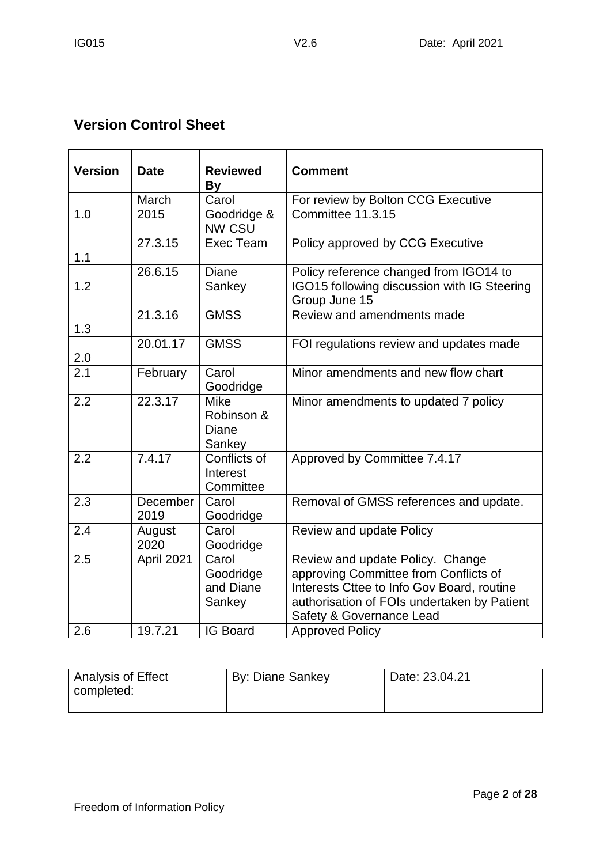# **Version Control Sheet**

| <b>Version</b> | <b>Date</b>      | <b>Reviewed</b><br><b>By</b>                 | <b>Comment</b>                                                                                                                                                                                     |  |
|----------------|------------------|----------------------------------------------|----------------------------------------------------------------------------------------------------------------------------------------------------------------------------------------------------|--|
| 1.0            | March<br>2015    | Carol<br>Goodridge &<br><b>NW CSU</b>        | For review by Bolton CCG Executive<br>Committee 11.3.15                                                                                                                                            |  |
| 1.1            | 27.3.15          | Exec Team                                    | Policy approved by CCG Executive                                                                                                                                                                   |  |
| 1.2            | 26.6.15          | Diane<br>Sankey                              | Policy reference changed from IGO14 to<br>IGO15 following discussion with IG Steering<br>Group June 15                                                                                             |  |
| 1.3            | 21.3.16          | <b>GMSS</b>                                  | Review and amendments made                                                                                                                                                                         |  |
| 2.0            | 20.01.17         | <b>GMSS</b>                                  | FOI regulations review and updates made                                                                                                                                                            |  |
| 2.1            | February         | Carol<br>Goodridge                           | Minor amendments and new flow chart                                                                                                                                                                |  |
| 2.2            | 22.3.17          | <b>Mike</b><br>Robinson &<br>Diane<br>Sankey | Minor amendments to updated 7 policy                                                                                                                                                               |  |
| 2.2            | 7.4.17           | Conflicts of<br>Interest<br>Committee        | Approved by Committee 7.4.17                                                                                                                                                                       |  |
| 2.3            | December<br>2019 | Carol<br>Goodridge                           | Removal of GMSS references and update.                                                                                                                                                             |  |
| 2.4            | August<br>2020   | Carol<br>Goodridge                           | Review and update Policy                                                                                                                                                                           |  |
| 2.5            | April 2021       | Carol<br>Goodridge<br>and Diane<br>Sankey    | Review and update Policy. Change<br>approving Committee from Conflicts of<br>Interests Cttee to Info Gov Board, routine<br>authorisation of FOIs undertaken by Patient<br>Safety & Governance Lead |  |
| 2.6            | 19.7.21          | <b>IG Board</b>                              | <b>Approved Policy</b>                                                                                                                                                                             |  |

| Analysis of Effect | By: Diane Sankey | Date: 23.04.21 |
|--------------------|------------------|----------------|
| completed:         |                  |                |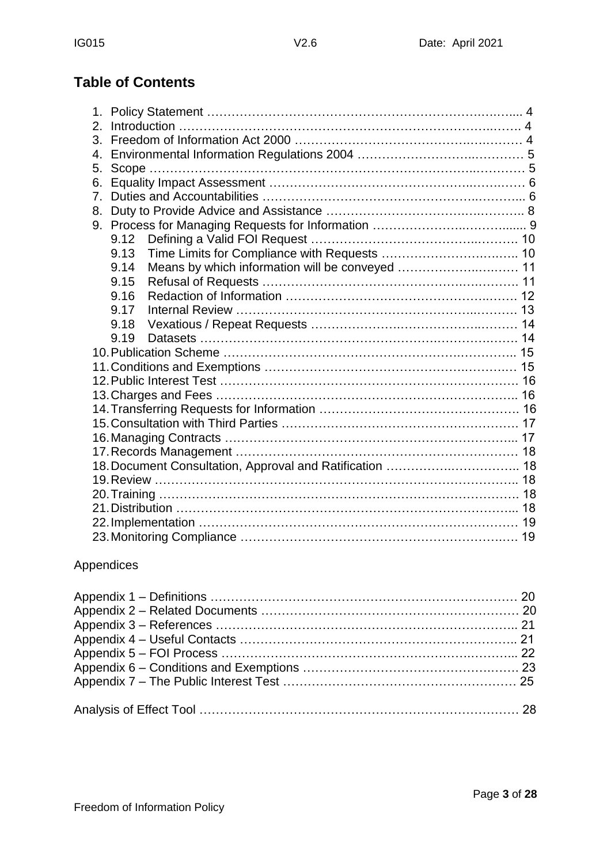# **Table of Contents**

| 2.      |      |                                                |  |
|---------|------|------------------------------------------------|--|
| 3.      |      |                                                |  |
| 4.      |      |                                                |  |
| 5.      |      |                                                |  |
| 6.      |      |                                                |  |
| $7_{-}$ |      |                                                |  |
| 8.      |      |                                                |  |
|         |      |                                                |  |
|         | 9.12 |                                                |  |
|         | 9.13 |                                                |  |
|         | 9.14 |                                                |  |
|         | 9.15 |                                                |  |
|         | 9.16 |                                                |  |
|         | 9.17 |                                                |  |
|         | 9.18 |                                                |  |
|         | 9.19 |                                                |  |
|         |      |                                                |  |
|         |      |                                                |  |
|         |      |                                                |  |
|         |      |                                                |  |
|         |      |                                                |  |
|         |      |                                                |  |
|         |      |                                                |  |
|         |      |                                                |  |
|         |      |                                                |  |
|         |      | 19. Review …………………………………………………………………………………… 18 |  |
|         |      |                                                |  |
|         |      |                                                |  |
|         |      |                                                |  |
|         |      |                                                |  |

#### Appendices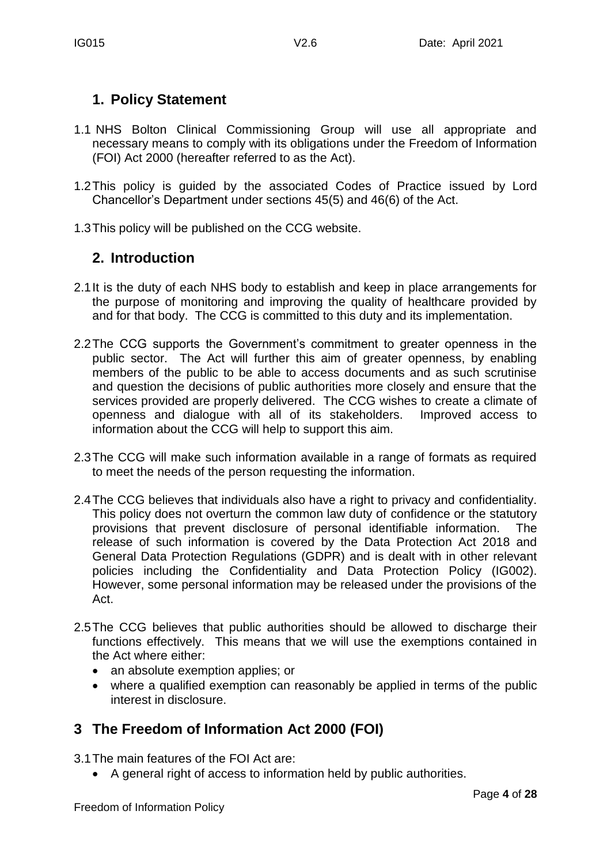## **1. Policy Statement**

- 1.1 NHS Bolton Clinical Commissioning Group will use all appropriate and necessary means to comply with its obligations under the Freedom of Information (FOI) Act 2000 (hereafter referred to as the Act).
- 1.2This policy is guided by the associated Codes of Practice issued by Lord Chancellor's Department under sections 45(5) and 46(6) of the Act.
- 1.3This policy will be published on the CCG website.

## **2. Introduction**

- 2.1It is the duty of each NHS body to establish and keep in place arrangements for the purpose of monitoring and improving the quality of healthcare provided by and for that body. The CCG is committed to this duty and its implementation.
- 2.2The CCG supports the Government's commitment to greater openness in the public sector. The Act will further this aim of greater openness, by enabling members of the public to be able to access documents and as such scrutinise and question the decisions of public authorities more closely and ensure that the services provided are properly delivered. The CCG wishes to create a climate of openness and dialogue with all of its stakeholders. Improved access to information about the CCG will help to support this aim.
- 2.3The CCG will make such information available in a range of formats as required to meet the needs of the person requesting the information.
- 2.4The CCG believes that individuals also have a right to privacy and confidentiality. This policy does not overturn the common law duty of confidence or the statutory provisions that prevent disclosure of personal identifiable information. The release of such information is covered by the Data Protection Act 2018 and General Data Protection Regulations (GDPR) and is dealt with in other relevant policies including the Confidentiality and Data Protection Policy (IG002). However, some personal information may be released under the provisions of the Act.
- 2.5The CCG believes that public authorities should be allowed to discharge their functions effectively. This means that we will use the exemptions contained in the Act where either:
	- an absolute exemption applies; or
	- where a qualified exemption can reasonably be applied in terms of the public interest in disclosure.

# **3 The Freedom of Information Act 2000 (FOI)**

3.1The main features of the FOI Act are:

A general right of access to information held by public authorities.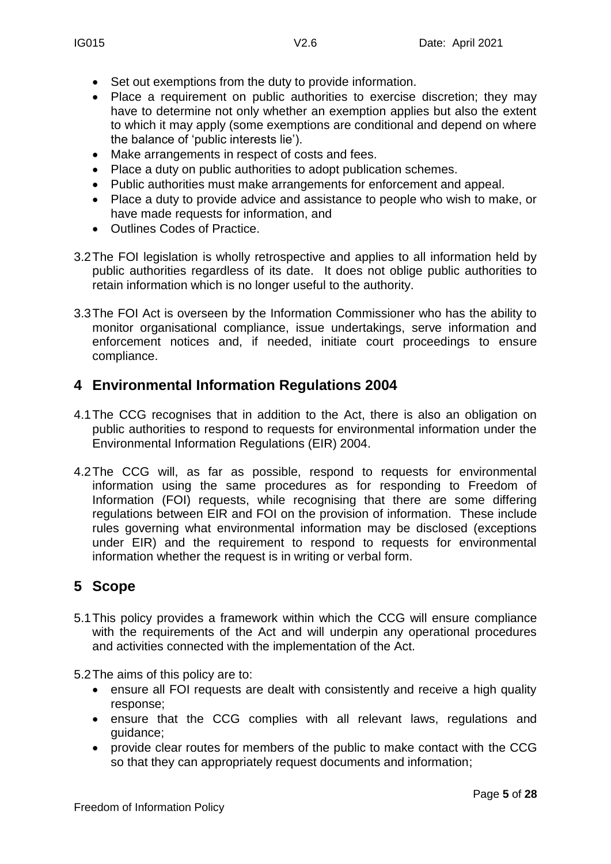- Set out exemptions from the duty to provide information.
- Place a requirement on public authorities to exercise discretion; they may have to determine not only whether an exemption applies but also the extent to which it may apply (some exemptions are conditional and depend on where the balance of 'public interests lie').
- Make arrangements in respect of costs and fees.
- Place a duty on public authorities to adopt publication schemes.
- Public authorities must make arrangements for enforcement and appeal.
- Place a duty to provide advice and assistance to people who wish to make, or have made requests for information, and
- Outlines Codes of Practice.
- 3.2The FOI legislation is wholly retrospective and applies to all information held by public authorities regardless of its date. It does not oblige public authorities to retain information which is no longer useful to the authority.
- 3.3The FOI Act is overseen by the Information Commissioner who has the ability to monitor organisational compliance, issue undertakings, serve information and enforcement notices and, if needed, initiate court proceedings to ensure compliance.

# **4 Environmental Information Regulations 2004**

- 4.1The CCG recognises that in addition to the Act, there is also an obligation on public authorities to respond to requests for environmental information under the Environmental Information Regulations (EIR) 2004.
- 4.2The CCG will, as far as possible, respond to requests for environmental information using the same procedures as for responding to Freedom of Information (FOI) requests, while recognising that there are some differing regulations between EIR and FOI on the provision of information. These include rules governing what environmental information may be disclosed (exceptions under EIR) and the requirement to respond to requests for environmental information whether the request is in writing or verbal form.

# **5 Scope**

5.1This policy provides a framework within which the CCG will ensure compliance with the requirements of the Act and will underpin any operational procedures and activities connected with the implementation of the Act.

5.2The aims of this policy are to:

- ensure all FOI requests are dealt with consistently and receive a high quality response;
- ensure that the CCG complies with all relevant laws, regulations and guidance;
- provide clear routes for members of the public to make contact with the CCG so that they can appropriately request documents and information;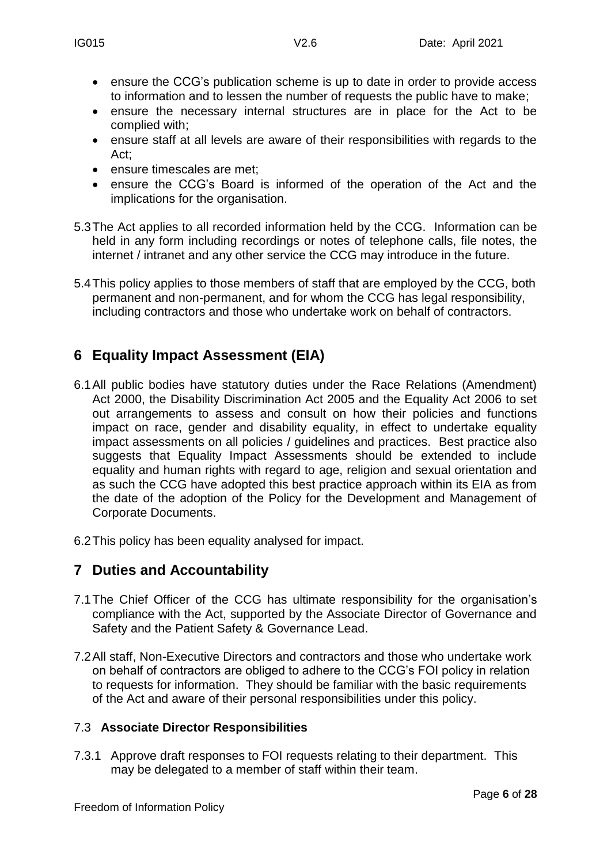- ensure the CCG's publication scheme is up to date in order to provide access to information and to lessen the number of requests the public have to make;
- ensure the necessary internal structures are in place for the Act to be complied with;
- ensure staff at all levels are aware of their responsibilities with regards to the Act;
- **e** ensure timescales are met;
- ensure the CCG's Board is informed of the operation of the Act and the implications for the organisation.
- 5.3The Act applies to all recorded information held by the CCG. Information can be held in any form including recordings or notes of telephone calls, file notes, the internet / intranet and any other service the CCG may introduce in the future.
- 5.4This policy applies to those members of staff that are employed by the CCG, both permanent and non-permanent, and for whom the CCG has legal responsibility, including contractors and those who undertake work on behalf of contractors.

# **6 Equality Impact Assessment (EIA)**

- 6.1All public bodies have statutory duties under the Race Relations (Amendment) Act 2000, the Disability Discrimination Act 2005 and the Equality Act 2006 to set out arrangements to assess and consult on how their policies and functions impact on race, gender and disability equality, in effect to undertake equality impact assessments on all policies / guidelines and practices. Best practice also suggests that Equality Impact Assessments should be extended to include equality and human rights with regard to age, religion and sexual orientation and as such the CCG have adopted this best practice approach within its EIA as from the date of the adoption of the Policy for the Development and Management of Corporate Documents.
- 6.2This policy has been equality analysed for impact.

# **7 Duties and Accountability**

- 7.1The Chief Officer of the CCG has ultimate responsibility for the organisation's compliance with the Act, supported by the Associate Director of Governance and Safety and the Patient Safety & Governance Lead.
- 7.2All staff, Non-Executive Directors and contractors and those who undertake work on behalf of contractors are obliged to adhere to the CCG's FOI policy in relation to requests for information. They should be familiar with the basic requirements of the Act and aware of their personal responsibilities under this policy.

#### 7.3 **Associate Director Responsibilities**

7.3.1 Approve draft responses to FOI requests relating to their department. This may be delegated to a member of staff within their team.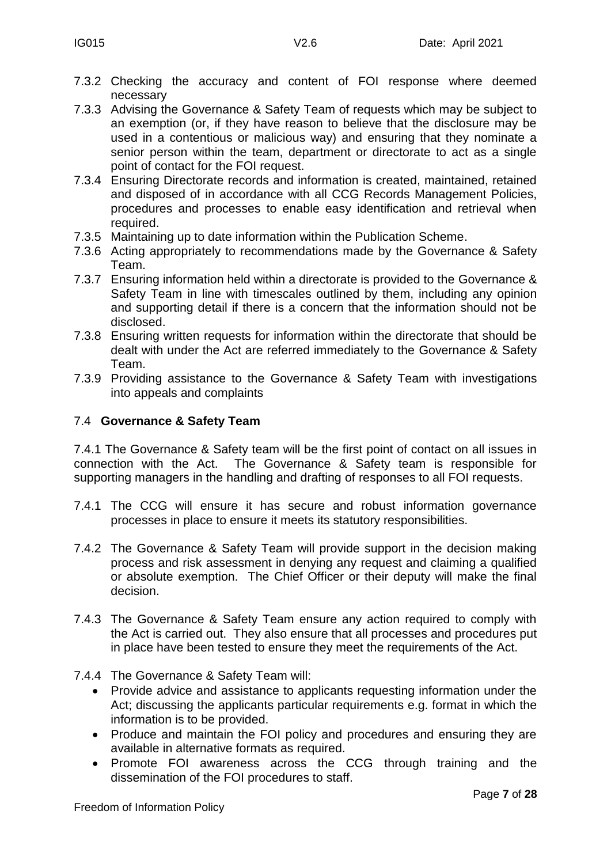- 7.3.2 Checking the accuracy and content of FOI response where deemed necessary
- 7.3.3 Advising the Governance & Safety Team of requests which may be subject to an exemption (or, if they have reason to believe that the disclosure may be used in a contentious or malicious way) and ensuring that they nominate a senior person within the team, department or directorate to act as a single point of contact for the FOI request.
- 7.3.4 Ensuring Directorate records and information is created, maintained, retained and disposed of in accordance with all CCG Records Management Policies, procedures and processes to enable easy identification and retrieval when required.
- 7.3.5 Maintaining up to date information within the Publication Scheme.
- 7.3.6 Acting appropriately to recommendations made by the Governance & Safety Team.
- 7.3.7 Ensuring information held within a directorate is provided to the Governance & Safety Team in line with timescales outlined by them, including any opinion and supporting detail if there is a concern that the information should not be disclosed.
- 7.3.8 Ensuring written requests for information within the directorate that should be dealt with under the Act are referred immediately to the Governance & Safety Team.
- 7.3.9 Providing assistance to the Governance & Safety Team with investigations into appeals and complaints

#### 7.4 **Governance & Safety Team**

7.4.1 The Governance & Safety team will be the first point of contact on all issues in connection with the Act. The Governance & Safety team is responsible for supporting managers in the handling and drafting of responses to all FOI requests.

- 7.4.1 The CCG will ensure it has secure and robust information governance processes in place to ensure it meets its statutory responsibilities.
- 7.4.2 The Governance & Safety Team will provide support in the decision making process and risk assessment in denying any request and claiming a qualified or absolute exemption. The Chief Officer or their deputy will make the final decision.
- 7.4.3 The Governance & Safety Team ensure any action required to comply with the Act is carried out. They also ensure that all processes and procedures put in place have been tested to ensure they meet the requirements of the Act.
- 7.4.4 The Governance & Safety Team will:
	- Provide advice and assistance to applicants requesting information under the Act; discussing the applicants particular requirements e.g. format in which the information is to be provided.
	- Produce and maintain the FOI policy and procedures and ensuring they are available in alternative formats as required.
	- Promote FOI awareness across the CCG through training and the dissemination of the FOI procedures to staff.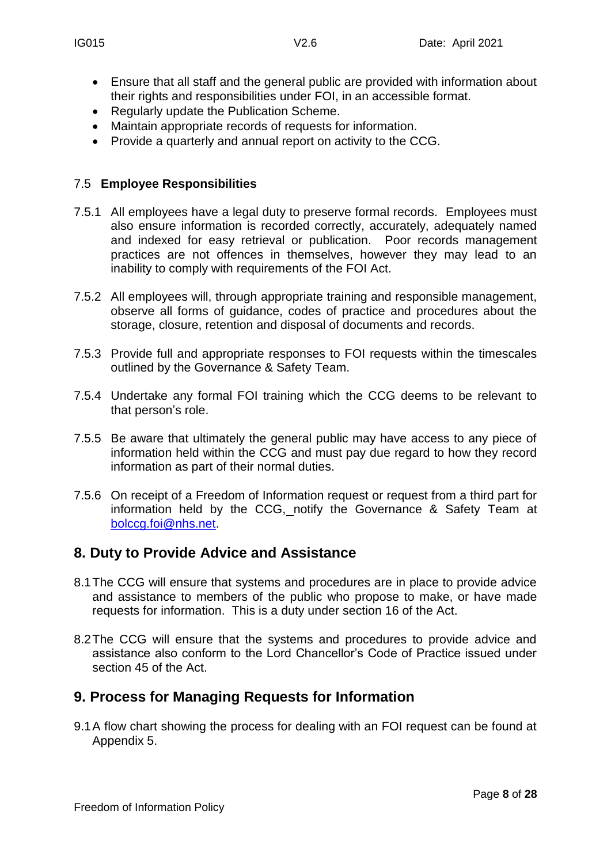- Ensure that all staff and the general public are provided with information about their rights and responsibilities under FOI, in an accessible format.
- Regularly update the Publication Scheme.
- Maintain appropriate records of requests for information.
- Provide a quarterly and annual report on activity to the CCG.

#### 7.5 **Employee Responsibilities**

- 7.5.1 All employees have a legal duty to preserve formal records. Employees must also ensure information is recorded correctly, accurately, adequately named and indexed for easy retrieval or publication. Poor records management practices are not offences in themselves, however they may lead to an inability to comply with requirements of the FOI Act.
- 7.5.2 All employees will, through appropriate training and responsible management, observe all forms of guidance, codes of practice and procedures about the storage, closure, retention and disposal of documents and records.
- 7.5.3 Provide full and appropriate responses to FOI requests within the timescales outlined by the Governance & Safety Team.
- 7.5.4 Undertake any formal FOI training which the CCG deems to be relevant to that person's role.
- 7.5.5 Be aware that ultimately the general public may have access to any piece of information held within the CCG and must pay due regard to how they record information as part of their normal duties.
- 7.5.6 On receipt of a Freedom of Information request or request from a third part for information held by the CCG, notify the Governance & Safety Team at [bolccg.foi@nhs.net.](mailto:bolccg.foi@nhs.net)

## **8. Duty to Provide Advice and Assistance**

- 8.1The CCG will ensure that systems and procedures are in place to provide advice and assistance to members of the public who propose to make, or have made requests for information. This is a duty under section 16 of the Act.
- 8.2The CCG will ensure that the systems and procedures to provide advice and assistance also conform to the Lord Chancellor's Code of Practice issued under section 45 of the Act.

## **9. Process for Managing Requests for Information**

9.1A flow chart showing the process for dealing with an FOI request can be found at Appendix 5.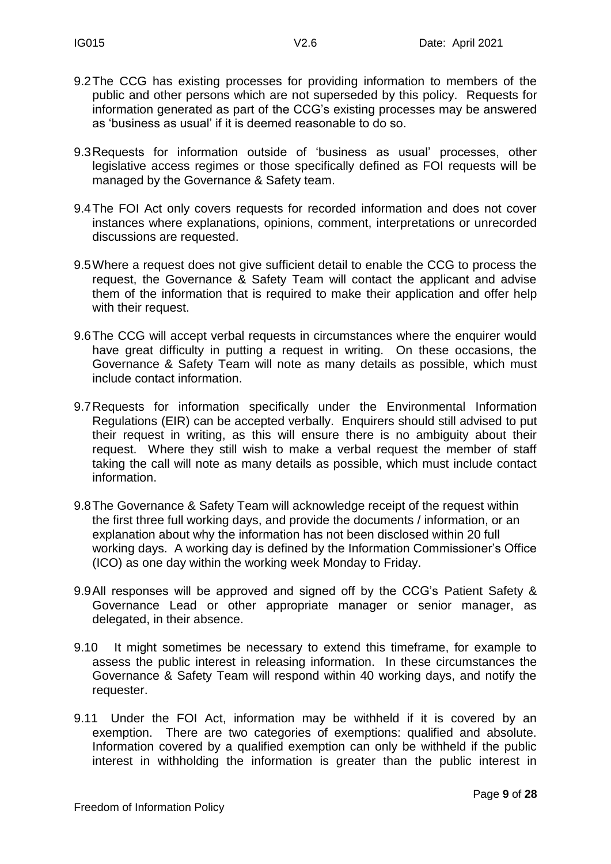- 9.2The CCG has existing processes for providing information to members of the public and other persons which are not superseded by this policy. Requests for information generated as part of the CCG's existing processes may be answered as 'business as usual' if it is deemed reasonable to do so.
- 9.3Requests for information outside of 'business as usual' processes, other legislative access regimes or those specifically defined as FOI requests will be managed by the Governance & Safety team.
- 9.4The FOI Act only covers requests for recorded information and does not cover instances where explanations, opinions, comment, interpretations or unrecorded discussions are requested.
- 9.5Where a request does not give sufficient detail to enable the CCG to process the request, the Governance & Safety Team will contact the applicant and advise them of the information that is required to make their application and offer help with their request.
- 9.6The CCG will accept verbal requests in circumstances where the enquirer would have great difficulty in putting a request in writing. On these occasions, the Governance & Safety Team will note as many details as possible, which must include contact information.
- 9.7Requests for information specifically under the Environmental Information Regulations (EIR) can be accepted verbally. Enquirers should still advised to put their request in writing, as this will ensure there is no ambiguity about their request. Where they still wish to make a verbal request the member of staff taking the call will note as many details as possible, which must include contact information.
- 9.8The Governance & Safety Team will acknowledge receipt of the request within the first three full working days, and provide the documents / information, or an explanation about why the information has not been disclosed within 20 full working days. A working day is defined by the Information Commissioner's Office (ICO) as one day within the working week Monday to Friday.
- 9.9All responses will be approved and signed off by the CCG's Patient Safety & Governance Lead or other appropriate manager or senior manager, as delegated, in their absence.
- 9.10 It might sometimes be necessary to extend this timeframe, for example to assess the public interest in releasing information. In these circumstances the Governance & Safety Team will respond within 40 working days, and notify the requester.
- 9.11 Under the FOI Act, information may be withheld if it is covered by an exemption. There are two categories of exemptions: qualified and absolute. Information covered by a qualified exemption can only be withheld if the public interest in withholding the information is greater than the public interest in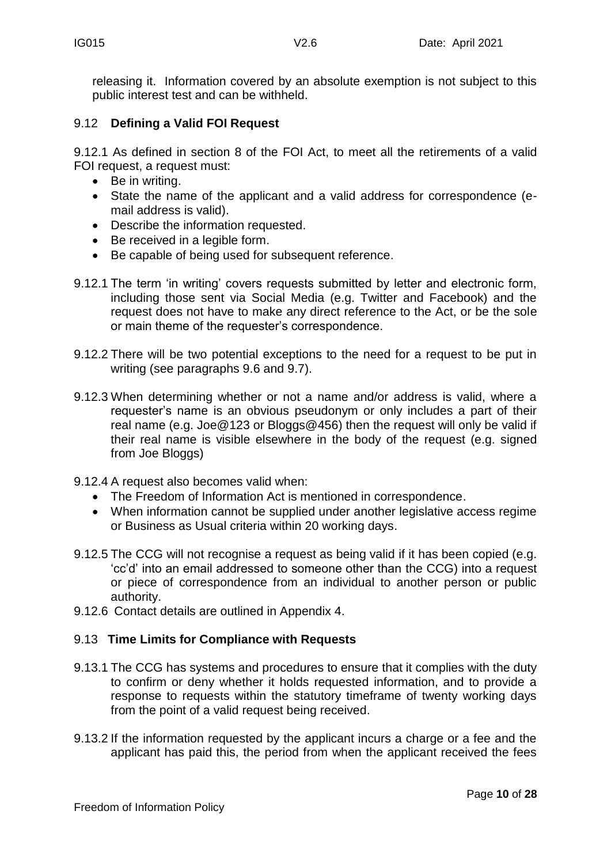releasing it. Information covered by an absolute exemption is not subject to this public interest test and can be withheld.

#### 9.12 **Defining a Valid FOI Request**

9.12.1 As defined in section 8 of the FOI Act, to meet all the retirements of a valid FOI request, a request must:

- Be in writing.
- State the name of the applicant and a valid address for correspondence (email address is valid).
- Describe the information requested.
- Be received in a legible form.
- Be capable of being used for subsequent reference.
- 9.12.1 The term 'in writing' covers requests submitted by letter and electronic form, including those sent via Social Media (e.g. Twitter and Facebook) and the request does not have to make any direct reference to the Act, or be the sole or main theme of the requester's correspondence.
- 9.12.2 There will be two potential exceptions to the need for a request to be put in writing (see paragraphs 9.6 and 9.7).
- 9.12.3 When determining whether or not a name and/or address is valid, where a requester's name is an obvious pseudonym or only includes a part of their real name (e.g. Joe@123 or Bloggs@456) then the request will only be valid if their real name is visible elsewhere in the body of the request (e.g. signed from Joe Bloggs)
- 9.12.4 A request also becomes valid when:
	- The Freedom of Information Act is mentioned in correspondence.
	- When information cannot be supplied under another legislative access regime or Business as Usual criteria within 20 working days.
- 9.12.5 The CCG will not recognise a request as being valid if it has been copied (e.g. 'cc'd' into an email addressed to someone other than the CCG) into a request or piece of correspondence from an individual to another person or public authority.
- 9.12.6 Contact details are outlined in Appendix 4.

#### 9.13 **Time Limits for Compliance with Requests**

- 9.13.1 The CCG has systems and procedures to ensure that it complies with the duty to confirm or deny whether it holds requested information, and to provide a response to requests within the statutory timeframe of twenty working days from the point of a valid request being received.
- 9.13.2 If the information requested by the applicant incurs a charge or a fee and the applicant has paid this, the period from when the applicant received the fees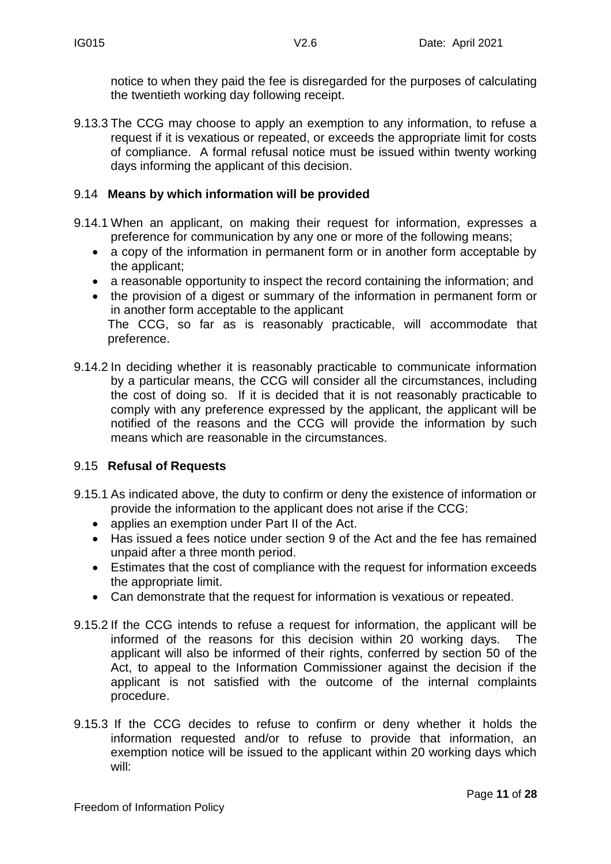notice to when they paid the fee is disregarded for the purposes of calculating the twentieth working day following receipt.

9.13.3 The CCG may choose to apply an exemption to any information, to refuse a request if it is vexatious or repeated, or exceeds the appropriate limit for costs of compliance. A formal refusal notice must be issued within twenty working days informing the applicant of this decision.

#### 9.14 **Means by which information will be provided**

- 9.14.1 When an applicant, on making their request for information, expresses a preference for communication by any one or more of the following means;
	- a copy of the information in permanent form or in another form acceptable by the applicant;
	- a reasonable opportunity to inspect the record containing the information; and
	- the provision of a digest or summary of the information in permanent form or in another form acceptable to the applicant The CCG, so far as is reasonably practicable, will accommodate that preference.
- 9.14.2 In deciding whether it is reasonably practicable to communicate information by a particular means, the CCG will consider all the circumstances, including the cost of doing so. If it is decided that it is not reasonably practicable to comply with any preference expressed by the applicant, the applicant will be notified of the reasons and the CCG will provide the information by such means which are reasonable in the circumstances.

## 9.15 **Refusal of Requests**

- 9.15.1 As indicated above, the duty to confirm or deny the existence of information or provide the information to the applicant does not arise if the CCG:
	- applies an exemption under Part II of the Act.
	- Has issued a fees notice under section 9 of the Act and the fee has remained unpaid after a three month period.
	- Estimates that the cost of compliance with the request for information exceeds the appropriate limit.
	- Can demonstrate that the request for information is vexatious or repeated.
- 9.15.2 If the CCG intends to refuse a request for information, the applicant will be informed of the reasons for this decision within 20 working days. The applicant will also be informed of their rights, conferred by section 50 of the Act, to appeal to the Information Commissioner against the decision if the applicant is not satisfied with the outcome of the internal complaints procedure.
- 9.15.3 If the CCG decides to refuse to confirm or deny whether it holds the information requested and/or to refuse to provide that information, an exemption notice will be issued to the applicant within 20 working days which will: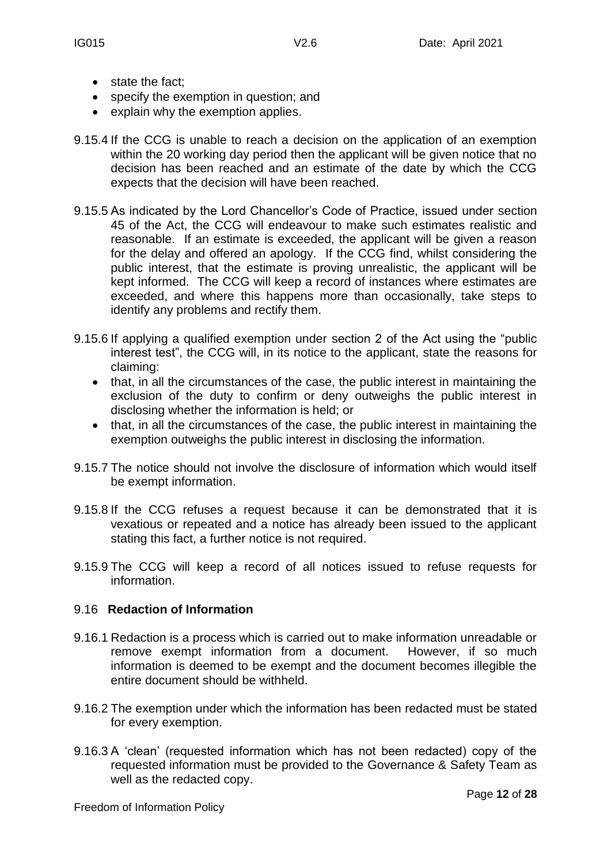- state the fact;
- specify the exemption in question; and
- explain why the exemption applies.
- 9.15.4 If the CCG is unable to reach a decision on the application of an exemption within the 20 working day period then the applicant will be given notice that no decision has been reached and an estimate of the date by which the CCG expects that the decision will have been reached.
- 9.15.5 As indicated by the Lord Chancellor's Code of Practice, issued under section 45 of the Act, the CCG will endeavour to make such estimates realistic and reasonable. If an estimate is exceeded, the applicant will be given a reason for the delay and offered an apology. If the CCG find, whilst considering the public interest, that the estimate is proving unrealistic, the applicant will be kept informed. The CCG will keep a record of instances where estimates are exceeded, and where this happens more than occasionally, take steps to identify any problems and rectify them.
- 9.15.6 If applying a qualified exemption under section 2 of the Act using the "public interest test", the CCG will, in its notice to the applicant, state the reasons for claiming:
	- that, in all the circumstances of the case, the public interest in maintaining the exclusion of the duty to confirm or deny outweighs the public interest in disclosing whether the information is held; or
	- that, in all the circumstances of the case, the public interest in maintaining the exemption outweighs the public interest in disclosing the information.
- 9.15.7 The notice should not involve the disclosure of information which would itself be exempt information.
- 9.15.8 If the CCG refuses a request because it can be demonstrated that it is vexatious or repeated and a notice has already been issued to the applicant stating this fact, a further notice is not required.
- 9.15.9 The CCG will keep a record of all notices issued to refuse requests for information.

#### 9.16 **Redaction of Information**

- 9.16.1 Redaction is a process which is carried out to make information unreadable or remove exempt information from a document. However, if so much information is deemed to be exempt and the document becomes illegible the entire document should be withheld.
- 9.16.2 The exemption under which the information has been redacted must be stated for every exemption.
- 9.16.3 A 'clean' (requested information which has not been redacted) copy of the requested information must be provided to the Governance & Safety Team as well as the redacted copy.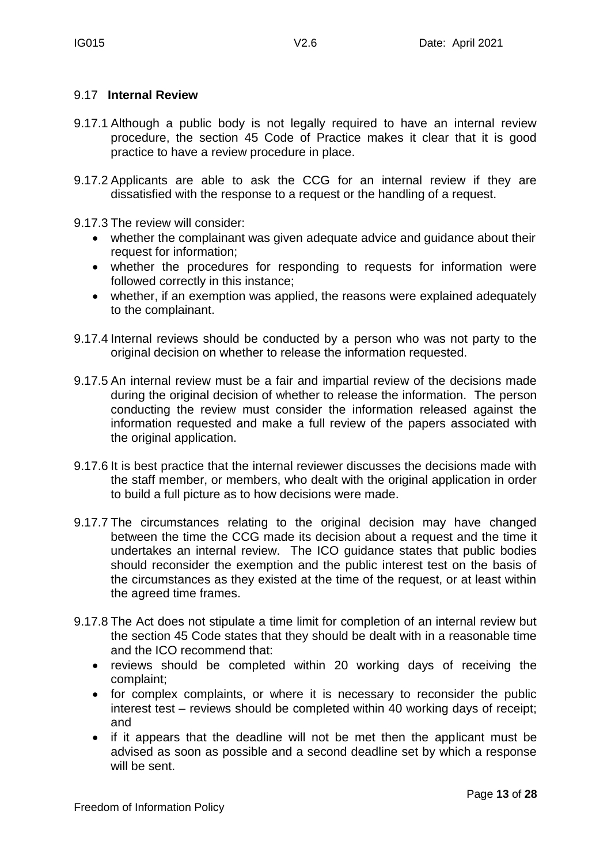#### 9.17 **Internal Review**

- 9.17.1 Although a public body is not legally required to have an internal review procedure, the section 45 Code of Practice makes it clear that it is good practice to have a review procedure in place.
- 9.17.2 Applicants are able to ask the CCG for an internal review if they are dissatisfied with the response to a request or the handling of a request.
- 9.17.3 The review will consider:
	- whether the complainant was given adequate advice and guidance about their request for information;
	- whether the procedures for responding to requests for information were followed correctly in this instance;
	- whether, if an exemption was applied, the reasons were explained adequately to the complainant.
- 9.17.4 Internal reviews should be conducted by a person who was not party to the original decision on whether to release the information requested.
- 9.17.5 An internal review must be a fair and impartial review of the decisions made during the original decision of whether to release the information. The person conducting the review must consider the information released against the information requested and make a full review of the papers associated with the original application.
- 9.17.6 It is best practice that the internal reviewer discusses the decisions made with the staff member, or members, who dealt with the original application in order to build a full picture as to how decisions were made.
- 9.17.7 The circumstances relating to the original decision may have changed between the time the CCG made its decision about a request and the time it undertakes an internal review. The ICO guidance states that public bodies should reconsider the exemption and the public interest test on the basis of the circumstances as they existed at the time of the request, or at least within the agreed time frames.
- 9.17.8 The Act does not stipulate a time limit for completion of an internal review but the section 45 Code states that they should be dealt with in a reasonable time and the ICO recommend that:
	- reviews should be completed within 20 working days of receiving the complaint;
	- for complex complaints, or where it is necessary to reconsider the public interest test – reviews should be completed within 40 working days of receipt; and
	- if it appears that the deadline will not be met then the applicant must be advised as soon as possible and a second deadline set by which a response will be sent.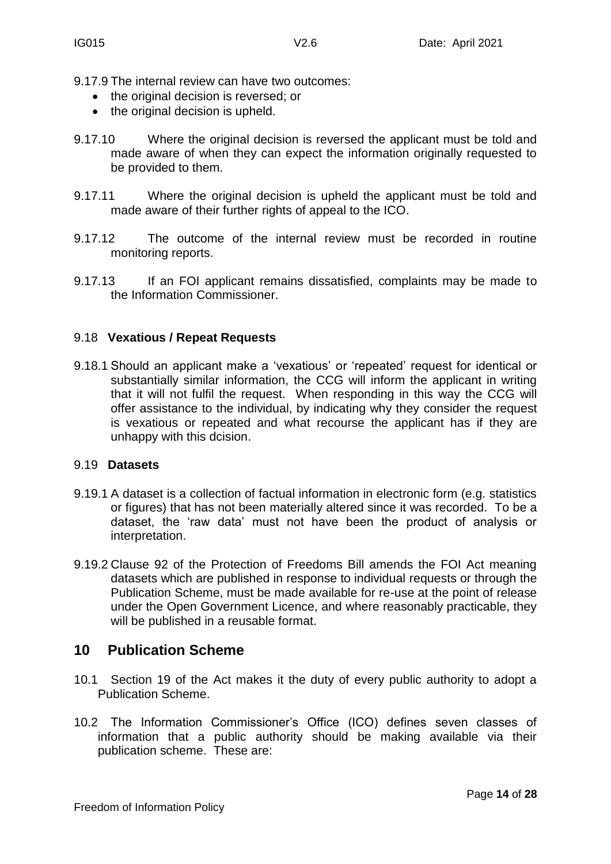- 9.17.9 The internal review can have two outcomes:
	- the original decision is reversed; or
	- the original decision is upheld.
- 9.17.10 Where the original decision is reversed the applicant must be told and made aware of when they can expect the information originally requested to be provided to them.
- 9.17.11 Where the original decision is upheld the applicant must be told and made aware of their further rights of appeal to the ICO.
- 9.17.12 The outcome of the internal review must be recorded in routine monitoring reports.
- 9.17.13 If an FOI applicant remains dissatisfied, complaints may be made to the Information Commissioner.

#### 9.18 **Vexatious / Repeat Requests**

9.18.1 Should an applicant make a 'vexatious' or 'repeated' request for identical or substantially similar information, the CCG will inform the applicant in writing that it will not fulfil the request. When responding in this way the CCG will offer assistance to the individual, by indicating why they consider the request is vexatious or repeated and what recourse the applicant has if they are unhappy with this dcision.

#### 9.19 **Datasets**

- 9.19.1 A dataset is a collection of factual information in electronic form (e.g. statistics or figures) that has not been materially altered since it was recorded. To be a dataset, the 'raw data' must not have been the product of analysis or interpretation.
- 9.19.2 Clause 92 of the Protection of Freedoms Bill amends the FOI Act meaning datasets which are published in response to individual requests or through the Publication Scheme, must be made available for re-use at the point of release under the Open Government Licence, and where reasonably practicable, they will be published in a reusable format.

#### **10 Publication Scheme**

- 10.1 Section 19 of the Act makes it the duty of every public authority to adopt a Publication Scheme.
- 10.2 The Information Commissioner's Office (ICO) defines seven classes of information that a public authority should be making available via their publication scheme. These are: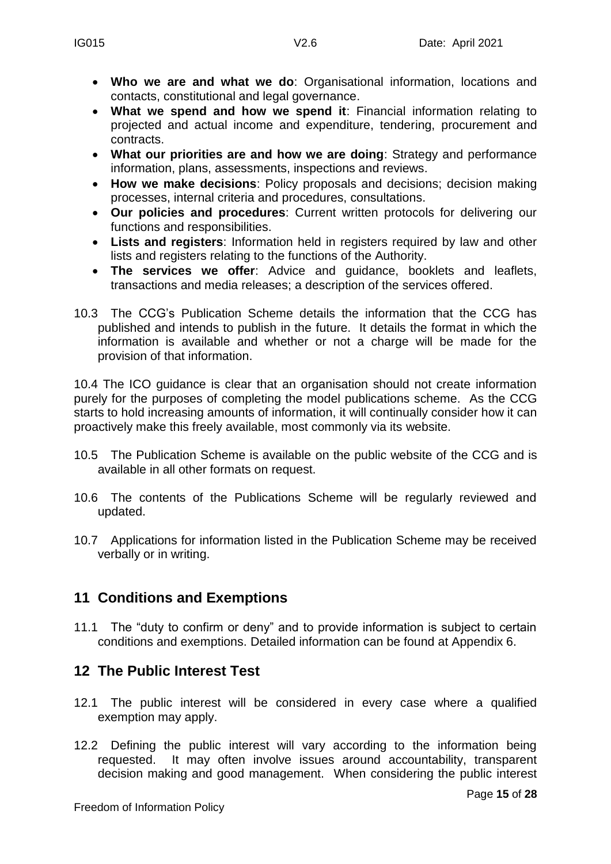- **Who we are and what we do**: Organisational information, locations and contacts, constitutional and legal governance.
- **What we spend and how we spend it**: Financial information relating to projected and actual income and expenditure, tendering, procurement and contracts.
- **What our priorities are and how we are doing**: Strategy and performance information, plans, assessments, inspections and reviews.
- **How we make decisions**: Policy proposals and decisions; decision making processes, internal criteria and procedures, consultations.
- **Our policies and procedures**: Current written protocols for delivering our functions and responsibilities.
- **Lists and registers**: Information held in registers required by law and other lists and registers relating to the functions of the Authority.
- **The services we offer**: Advice and guidance, booklets and leaflets, transactions and media releases; a description of the services offered.
- 10.3 The CCG's Publication Scheme details the information that the CCG has published and intends to publish in the future. It details the format in which the information is available and whether or not a charge will be made for the provision of that information.

10.4 The ICO guidance is clear that an organisation should not create information purely for the purposes of completing the model publications scheme. As the CCG starts to hold increasing amounts of information, it will continually consider how it can proactively make this freely available, most commonly via its website.

- 10.5 The Publication Scheme is available on the public website of the CCG and is available in all other formats on request.
- 10.6 The contents of the Publications Scheme will be regularly reviewed and updated.
- 10.7 Applications for information listed in the Publication Scheme may be received verbally or in writing.

## **11 Conditions and Exemptions**

11.1 The "duty to confirm or deny" and to provide information is subject to certain conditions and exemptions. Detailed information can be found at Appendix 6.

## **12 The Public Interest Test**

- 12.1 The public interest will be considered in every case where a qualified exemption may apply.
- 12.2 Defining the public interest will vary according to the information being requested. It may often involve issues around accountability, transparent decision making and good management. When considering the public interest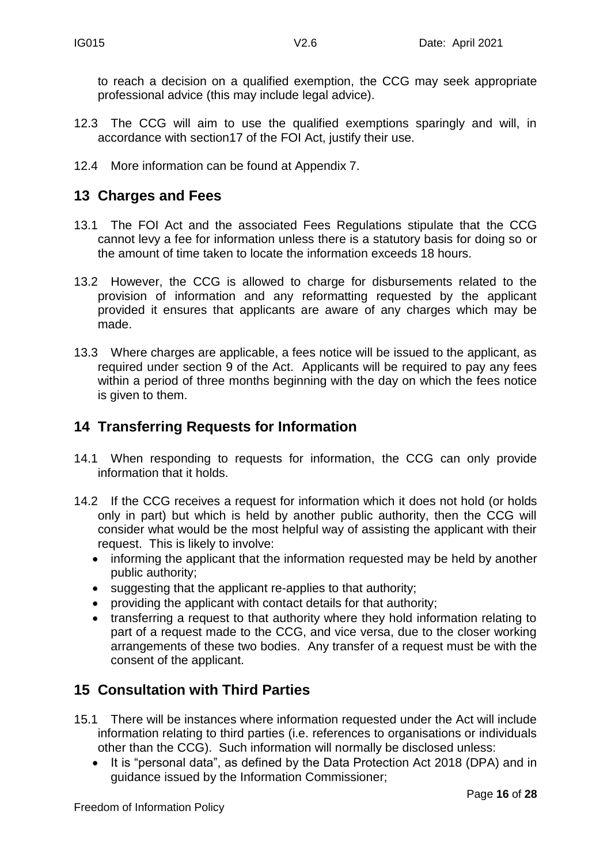to reach a decision on a qualified exemption, the CCG may seek appropriate professional advice (this may include legal advice).

- 12.3 The CCG will aim to use the qualified exemptions sparingly and will, in accordance with section17 of the FOI Act, justify their use.
- 12.4 More information can be found at Appendix 7.

## **13 Charges and Fees**

- 13.1 The FOI Act and the associated Fees Regulations stipulate that the CCG cannot levy a fee for information unless there is a statutory basis for doing so or the amount of time taken to locate the information exceeds 18 hours.
- 13.2 However, the CCG is allowed to charge for disbursements related to the provision of information and any reformatting requested by the applicant provided it ensures that applicants are aware of any charges which may be made.
- 13.3 Where charges are applicable, a fees notice will be issued to the applicant, as required under section 9 of the Act. Applicants will be required to pay any fees within a period of three months beginning with the day on which the fees notice is given to them.

## **14 Transferring Requests for Information**

- 14.1 When responding to requests for information, the CCG can only provide information that it holds.
- 14.2 If the CCG receives a request for information which it does not hold (or holds only in part) but which is held by another public authority, then the CCG will consider what would be the most helpful way of assisting the applicant with their request. This is likely to involve:
	- informing the applicant that the information requested may be held by another public authority;
	- suggesting that the applicant re-applies to that authority;
	- providing the applicant with contact details for that authority;
	- transferring a request to that authority where they hold information relating to part of a request made to the CCG, and vice versa, due to the closer working arrangements of these two bodies. Any transfer of a request must be with the consent of the applicant.

## **15 Consultation with Third Parties**

- 15.1 There will be instances where information requested under the Act will include information relating to third parties (i.e. references to organisations or individuals other than the CCG). Such information will normally be disclosed unless:
	- It is "personal data", as defined by the Data Protection Act 2018 (DPA) and in guidance issued by the Information Commissioner;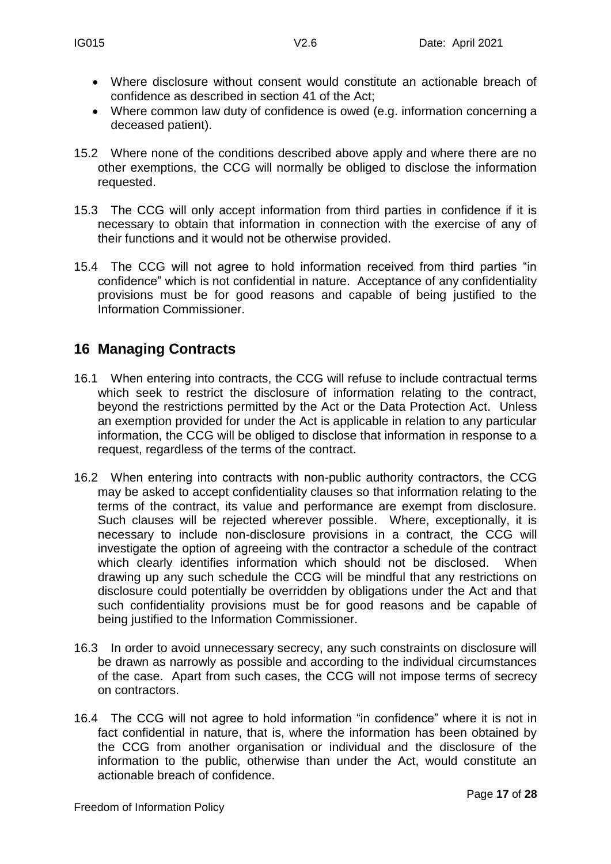- Where disclosure without consent would constitute an actionable breach of confidence as described in section 41 of the Act;
- Where common law duty of confidence is owed (e.g. information concerning a deceased patient).
- 15.2 Where none of the conditions described above apply and where there are no other exemptions, the CCG will normally be obliged to disclose the information requested.
- 15.3 The CCG will only accept information from third parties in confidence if it is necessary to obtain that information in connection with the exercise of any of their functions and it would not be otherwise provided.
- 15.4 The CCG will not agree to hold information received from third parties "in confidence" which is not confidential in nature. Acceptance of any confidentiality provisions must be for good reasons and capable of being justified to the Information Commissioner.

# **16 Managing Contracts**

- 16.1 When entering into contracts, the CCG will refuse to include contractual terms which seek to restrict the disclosure of information relating to the contract, beyond the restrictions permitted by the Act or the Data Protection Act. Unless an exemption provided for under the Act is applicable in relation to any particular information, the CCG will be obliged to disclose that information in response to a request, regardless of the terms of the contract.
- 16.2 When entering into contracts with non-public authority contractors, the CCG may be asked to accept confidentiality clauses so that information relating to the terms of the contract, its value and performance are exempt from disclosure. Such clauses will be rejected wherever possible. Where, exceptionally, it is necessary to include non-disclosure provisions in a contract, the CCG will investigate the option of agreeing with the contractor a schedule of the contract which clearly identifies information which should not be disclosed. When drawing up any such schedule the CCG will be mindful that any restrictions on disclosure could potentially be overridden by obligations under the Act and that such confidentiality provisions must be for good reasons and be capable of being justified to the Information Commissioner.
- 16.3 In order to avoid unnecessary secrecy, any such constraints on disclosure will be drawn as narrowly as possible and according to the individual circumstances of the case. Apart from such cases, the CCG will not impose terms of secrecy on contractors.
- 16.4 The CCG will not agree to hold information "in confidence" where it is not in fact confidential in nature, that is, where the information has been obtained by the CCG from another organisation or individual and the disclosure of the information to the public, otherwise than under the Act, would constitute an actionable breach of confidence.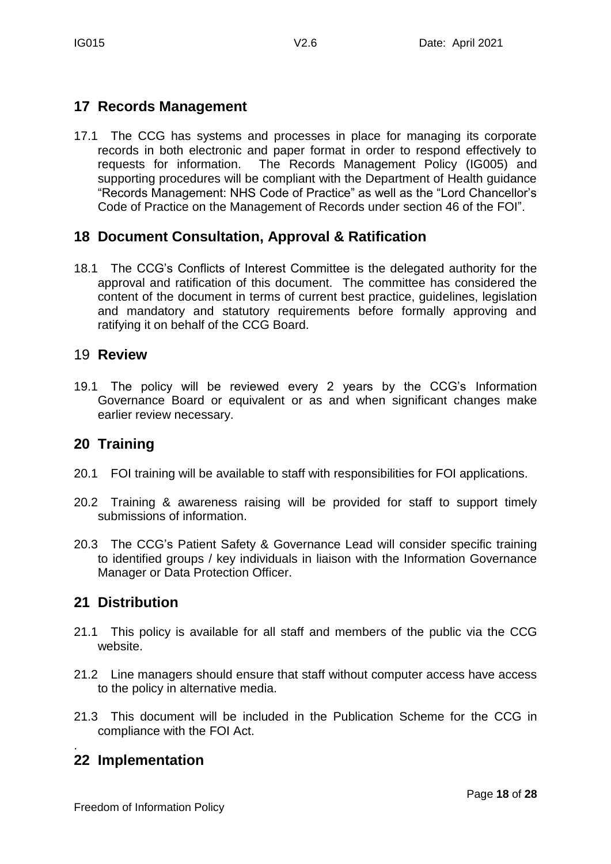## **17 Records Management**

17.1 The CCG has systems and processes in place for managing its corporate records in both electronic and paper format in order to respond effectively to requests for information. The Records Management Policy (IG005) and supporting procedures will be compliant with the Department of Health guidance "Records Management: NHS Code of Practice" as well as the "Lord Chancellor's Code of Practice on the Management of Records under section 46 of the FOI".

## **18 Document Consultation, Approval & Ratification**

18.1 The CCG's Conflicts of Interest Committee is the delegated authority for the approval and ratification of this document. The committee has considered the content of the document in terms of current best practice, guidelines, legislation and mandatory and statutory requirements before formally approving and ratifying it on behalf of the CCG Board.

## 19 **Review**

19.1 The policy will be reviewed every 2 years by the CCG's Information Governance Board or equivalent or as and when significant changes make earlier review necessary.

## **20 Training**

- 20.1 FOI training will be available to staff with responsibilities for FOI applications.
- 20.2 Training & awareness raising will be provided for staff to support timely submissions of information.
- 20.3 The CCG's Patient Safety & Governance Lead will consider specific training to identified groups / key individuals in liaison with the Information Governance Manager or Data Protection Officer.

# **21 Distribution**

- 21.1 This policy is available for all staff and members of the public via the CCG website.
- 21.2 Line managers should ensure that staff without computer access have access to the policy in alternative media.
- 21.3 This document will be included in the Publication Scheme for the CCG in compliance with the FOI Act.

#### . **22 Implementation**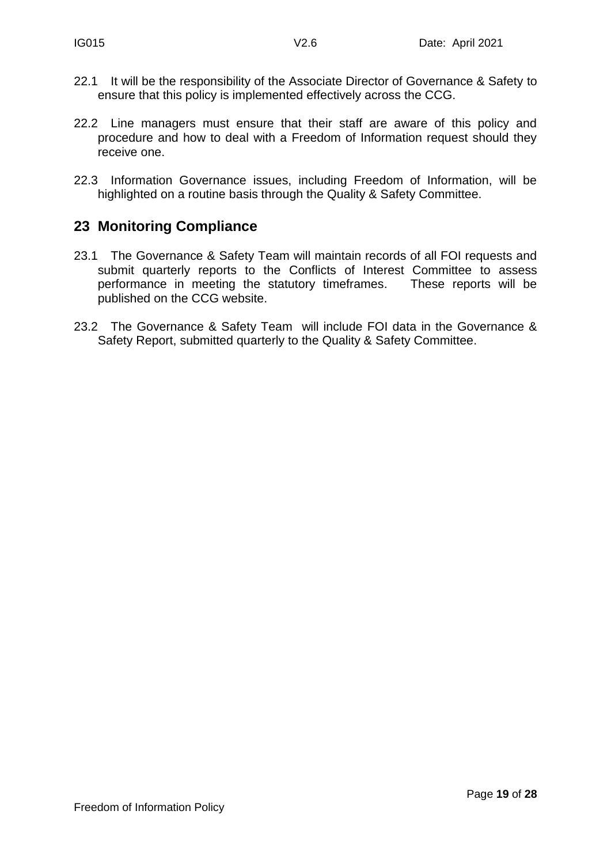- 22.1 It will be the responsibility of the Associate Director of Governance & Safety to ensure that this policy is implemented effectively across the CCG.
- 22.2 Line managers must ensure that their staff are aware of this policy and procedure and how to deal with a Freedom of Information request should they receive one.
- 22.3 Information Governance issues, including Freedom of Information, will be highlighted on a routine basis through the Quality & Safety Committee.

## **23 Monitoring Compliance**

- 23.1 The Governance & Safety Team will maintain records of all FOI requests and submit quarterly reports to the Conflicts of Interest Committee to assess performance in meeting the statutory timeframes. These reports will be published on the CCG website.
- 23.2 The Governance & Safety Team will include FOI data in the Governance & Safety Report, submitted quarterly to the Quality & Safety Committee.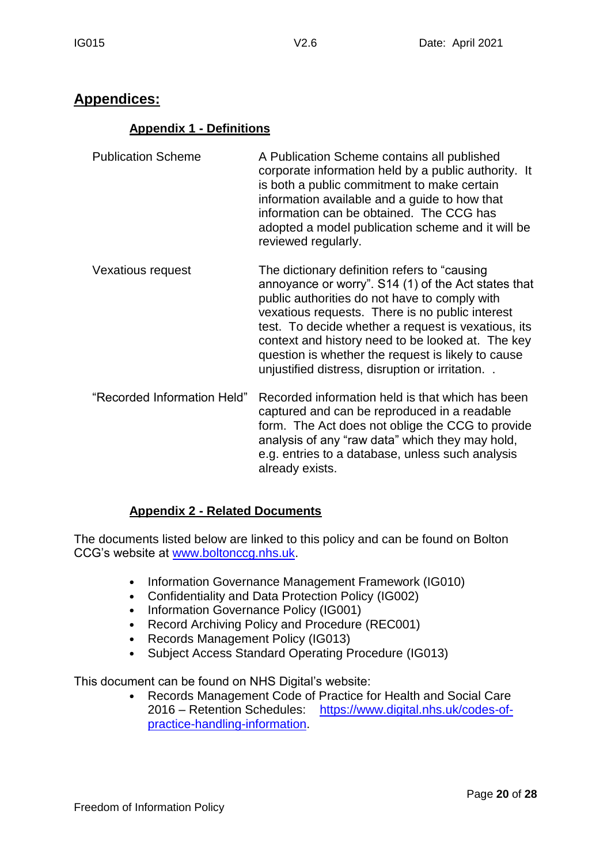# **Appendices:**

#### **Appendix 1 - Definitions**

- Publication Scheme A Publication Scheme contains all published corporate information held by a public authority. It is both a public commitment to make certain information available and a guide to how that information can be obtained. The CCG has adopted a model publication scheme and it will be reviewed regularly.
- Vexatious request The dictionary definition refers to "causing annoyance or worry". S14 (1) of the Act states that public authorities do not have to comply with vexatious requests. There is no public interest test. To decide whether a request is vexatious, its context and history need to be looked at. The key question is whether the request is likely to cause unjustified distress, disruption or irritation. .
- "Recorded Information Held" Recorded information held is that which has been captured and can be reproduced in a readable form. The Act does not oblige the CCG to provide analysis of any "raw data" which they may hold, e.g. entries to a database, unless such analysis already exists.

## **Appendix 2 - Related Documents**

The documents listed below are linked to this policy and can be found on Bolton CCG's website at [www.boltonccg.nhs.uk.](http://www.boltonccg.nhs.uk/)

- Information Governance Management Framework (IG010)
- Confidentiality and Data Protection Policy (IG002)
- Information Governance Policy (IG001)
- Record Archiving Policy and Procedure (REC001)
- Records Management Policy (IG013)
- Subject Access Standard Operating Procedure (IG013)

This document can be found on NHS Digital's website:

• Records Management Code of Practice for Health and Social Care 2016 – Retention Schedules: [https://www.digital.nhs.uk/codes-of](https://www.digital.nhs.uk/codes-of-practice-handling-information)[practice-handling-information.](https://www.digital.nhs.uk/codes-of-practice-handling-information)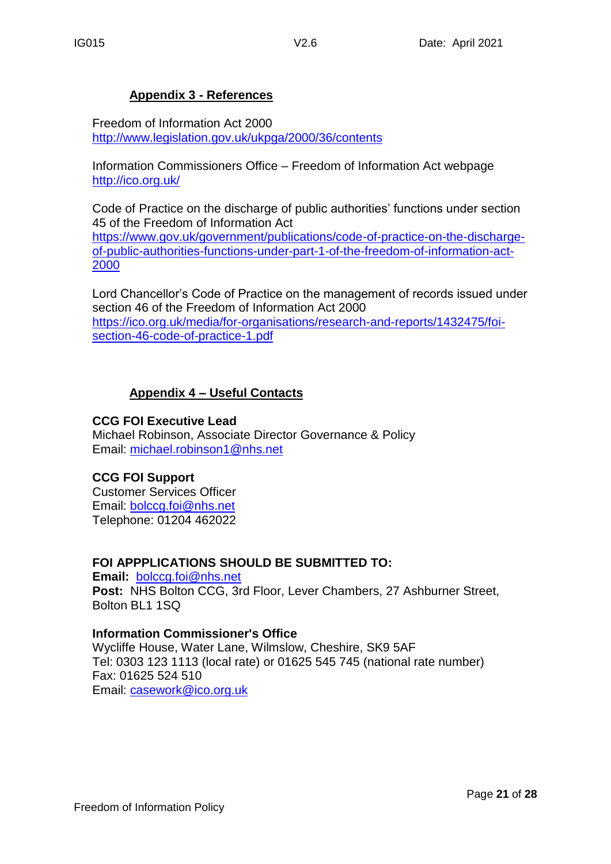#### **Appendix 3 - References**

Freedom of Information Act 2000 <http://www.legislation.gov.uk/ukpga/2000/36/contents>

Information Commissioners Office – Freedom of Information Act webpage <http://ico.org.uk/>

Code of Practice on the discharge of public authorities' functions under section 45 of the Freedom of Information Act

[https://www.gov.uk/government/publications/code-of-practice-on-the-discharge](https://www.gov.uk/government/publications/code-of-practice-on-the-discharge-of-public-authorities-functions-under-part-1-of-the-freedom-of-information-act-2000)[of-public-authorities-functions-under-part-1-of-the-freedom-of-information-act-](https://www.gov.uk/government/publications/code-of-practice-on-the-discharge-of-public-authorities-functions-under-part-1-of-the-freedom-of-information-act-2000)[2000](https://www.gov.uk/government/publications/code-of-practice-on-the-discharge-of-public-authorities-functions-under-part-1-of-the-freedom-of-information-act-2000)

Lord Chancellor's Code of Practice on the management of records issued under section 46 of the Freedom of Information Act 2000 [https://ico.org.uk/media/for-organisations/research-and-reports/1432475/foi](https://ico.org.uk/media/for-organisations/research-and-reports/1432475/foi-section-46-code-of-practice-1.pdf)[section-46-code-of-practice-1.pdf](https://ico.org.uk/media/for-organisations/research-and-reports/1432475/foi-section-46-code-of-practice-1.pdf)

#### **Appendix 4 – Useful Contacts**

#### **CCG FOI Executive Lead**

Michael Robinson, Associate Director Governance & Policy Email: [michael.robinson1@nhs.net](mailto:michael.robinson1@nhs.net)

#### **CCG FOI Support**

Customer Services Officer Email: [bolccg.foi@nhs.net](mailto:bolccg.foi@nhs.net) Telephone: 01204 462022

#### **FOI APPPLICATIONS SHOULD BE SUBMITTED TO:**

**Email:** [bolccg.foi@nhs.net](mailto:bolccg.foi@nhs.net) **Post:** NHS Bolton CCG, 3rd Floor, Lever Chambers, 27 Ashburner Street, Bolton BL1 1SQ

#### **Information Commissioner's Office**

Wycliffe House, Water Lane, Wilmslow, Cheshire, SK9 5AF Tel: 0303 123 1113 (local rate) or 01625 545 745 (national rate number) Fax: 01625 524 510 Email: [casework@ico.org.uk](mailto:casework@ico.org.uk)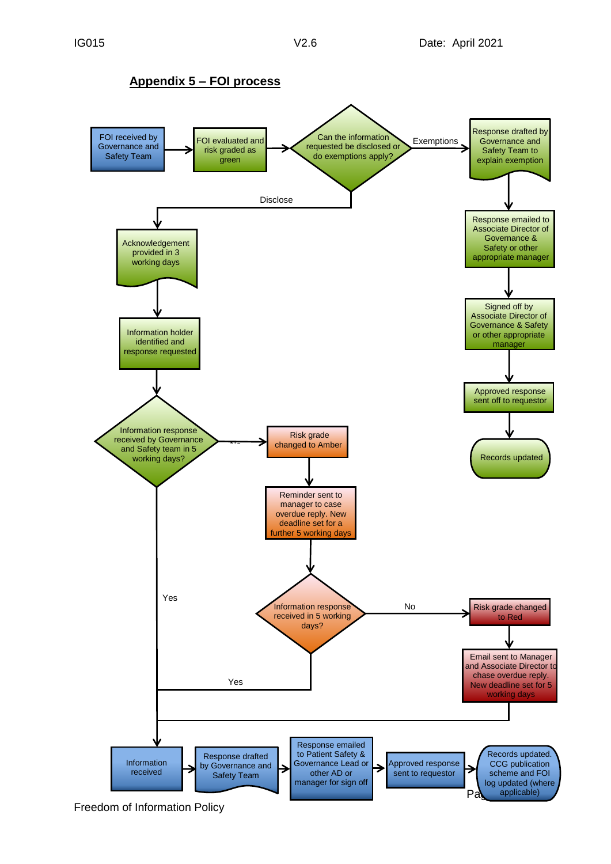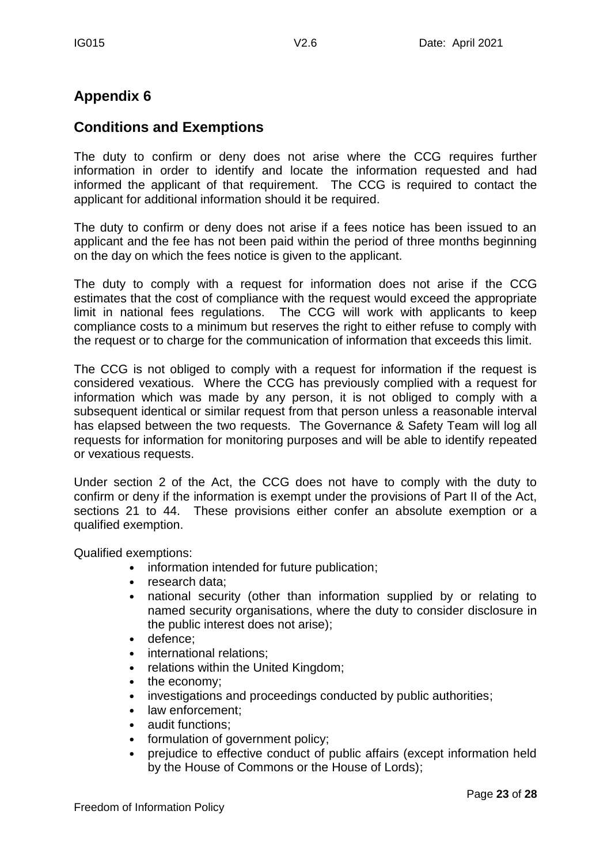# **Appendix 6**

## **Conditions and Exemptions**

The duty to confirm or deny does not arise where the CCG requires further information in order to identify and locate the information requested and had informed the applicant of that requirement. The CCG is required to contact the applicant for additional information should it be required.

The duty to confirm or deny does not arise if a fees notice has been issued to an applicant and the fee has not been paid within the period of three months beginning on the day on which the fees notice is given to the applicant.

The duty to comply with a request for information does not arise if the CCG estimates that the cost of compliance with the request would exceed the appropriate limit in national fees regulations. The CCG will work with applicants to keep compliance costs to a minimum but reserves the right to either refuse to comply with the request or to charge for the communication of information that exceeds this limit.

The CCG is not obliged to comply with a request for information if the request is considered vexatious. Where the CCG has previously complied with a request for information which was made by any person, it is not obliged to comply with a subsequent identical or similar request from that person unless a reasonable interval has elapsed between the two requests. The Governance & Safety Team will log all requests for information for monitoring purposes and will be able to identify repeated or vexatious requests.

Under section 2 of the Act, the CCG does not have to comply with the duty to confirm or deny if the information is exempt under the provisions of Part II of the Act, sections 21 to 44. These provisions either confer an absolute exemption or a qualified exemption.

Qualified exemptions:

- information intended for future publication;
- research data:
- national security (other than information supplied by or relating to named security organisations, where the duty to consider disclosure in the public interest does not arise);
- defence;
- international relations;
- relations within the United Kingdom;
- the economy:
- investigations and proceedings conducted by public authorities;
- law enforcement:
- audit functions;
- formulation of government policy;
- prejudice to effective conduct of public affairs (except information held by the House of Commons or the House of Lords);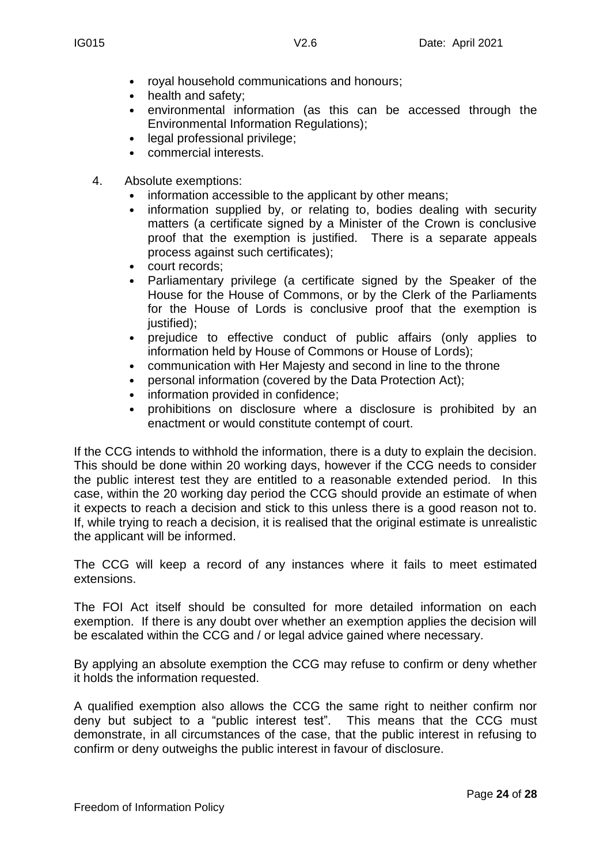- royal household communications and honours;
- health and safety;
- environmental information (as this can be accessed through the Environmental Information Regulations);
- legal professional privilege:
- commercial interests.
- 4. Absolute exemptions:
	- information accessible to the applicant by other means;
	- information supplied by, or relating to, bodies dealing with security matters (a certificate signed by a Minister of the Crown is conclusive proof that the exemption is justified. There is a separate appeals process against such certificates);
	- court records;
	- Parliamentary privilege (a certificate signed by the Speaker of the House for the House of Commons, or by the Clerk of the Parliaments for the House of Lords is conclusive proof that the exemption is justified);
	- prejudice to effective conduct of public affairs (only applies to information held by House of Commons or House of Lords);
	- communication with Her Majesty and second in line to the throne
	- personal information (covered by the Data Protection Act);
	- information provided in confidence;
	- prohibitions on disclosure where a disclosure is prohibited by an enactment or would constitute contempt of court.

If the CCG intends to withhold the information, there is a duty to explain the decision. This should be done within 20 working days, however if the CCG needs to consider the public interest test they are entitled to a reasonable extended period. In this case, within the 20 working day period the CCG should provide an estimate of when it expects to reach a decision and stick to this unless there is a good reason not to. If, while trying to reach a decision, it is realised that the original estimate is unrealistic the applicant will be informed.

The CCG will keep a record of any instances where it fails to meet estimated extensions.

The FOI Act itself should be consulted for more detailed information on each exemption. If there is any doubt over whether an exemption applies the decision will be escalated within the CCG and / or legal advice gained where necessary.

By applying an absolute exemption the CCG may refuse to confirm or deny whether it holds the information requested.

A qualified exemption also allows the CCG the same right to neither confirm nor deny but subject to a "public interest test". This means that the CCG must demonstrate, in all circumstances of the case, that the public interest in refusing to confirm or deny outweighs the public interest in favour of disclosure.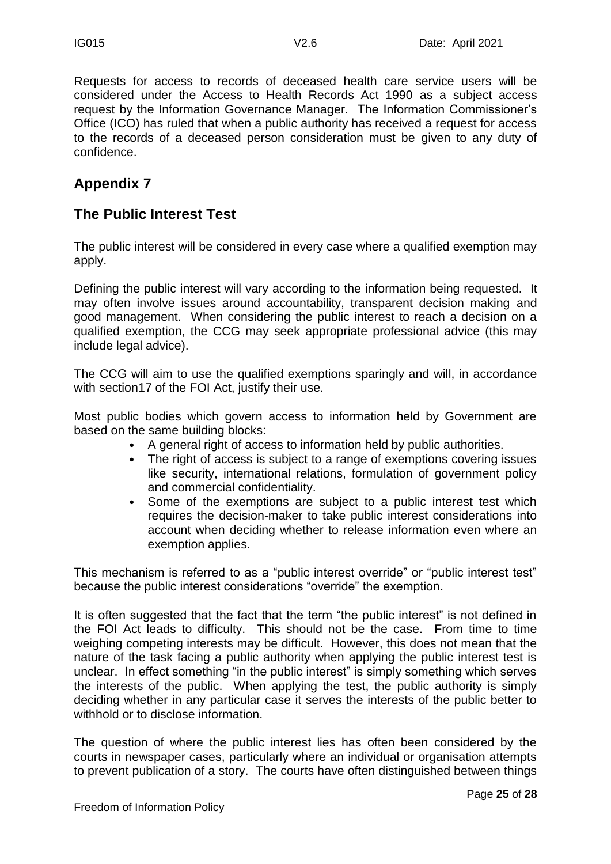Requests for access to records of deceased health care service users will be considered under the Access to Health Records Act 1990 as a subject access request by the Information Governance Manager. The Information Commissioner's Office (ICO) has ruled that when a public authority has received a request for access to the records of a deceased person consideration must be given to any duty of confidence.

# **Appendix 7**

# **The Public Interest Test**

The public interest will be considered in every case where a qualified exemption may apply.

Defining the public interest will vary according to the information being requested. It may often involve issues around accountability, transparent decision making and good management. When considering the public interest to reach a decision on a qualified exemption, the CCG may seek appropriate professional advice (this may include legal advice).

The CCG will aim to use the qualified exemptions sparingly and will, in accordance with section17 of the FOI Act, justify their use.

Most public bodies which govern access to information held by Government are based on the same building blocks:

- A general right of access to information held by public authorities.
- The right of access is subject to a range of exemptions covering issues like security, international relations, formulation of government policy and commercial confidentiality.
- Some of the exemptions are subject to a public interest test which requires the decision-maker to take public interest considerations into account when deciding whether to release information even where an exemption applies.

This mechanism is referred to as a "public interest override" or "public interest test" because the public interest considerations "override" the exemption.

It is often suggested that the fact that the term "the public interest" is not defined in the FOI Act leads to difficulty. This should not be the case. From time to time weighing competing interests may be difficult. However, this does not mean that the nature of the task facing a public authority when applying the public interest test is unclear. In effect something "in the public interest" is simply something which serves the interests of the public. When applying the test, the public authority is simply deciding whether in any particular case it serves the interests of the public better to withhold or to disclose information.

The question of where the public interest lies has often been considered by the courts in newspaper cases, particularly where an individual or organisation attempts to prevent publication of a story. The courts have often distinguished between things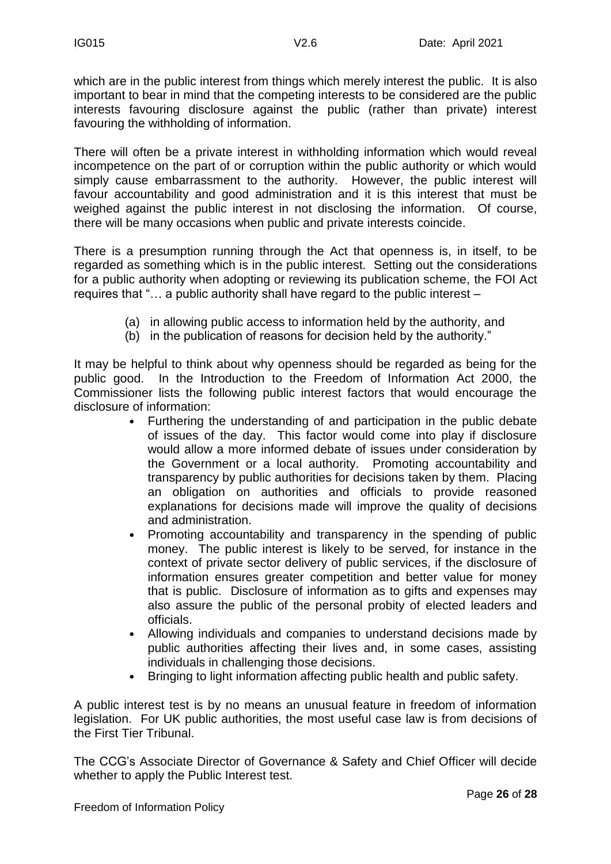which are in the public interest from things which merely interest the public. It is also important to bear in mind that the competing interests to be considered are the public interests favouring disclosure against the public (rather than private) interest favouring the withholding of information.

There will often be a private interest in withholding information which would reveal incompetence on the part of or corruption within the public authority or which would simply cause embarrassment to the authority. However, the public interest will favour accountability and good administration and it is this interest that must be weighed against the public interest in not disclosing the information. Of course, there will be many occasions when public and private interests coincide.

There is a presumption running through the Act that openness is, in itself, to be regarded as something which is in the public interest. Setting out the considerations for a public authority when adopting or reviewing its publication scheme, the FOI Act requires that "… a public authority shall have regard to the public interest –

- (a) in allowing public access to information held by the authority, and
- (b) in the publication of reasons for decision held by the authority."

It may be helpful to think about why openness should be regarded as being for the public good. In the Introduction to the Freedom of Information Act 2000, the Commissioner lists the following public interest factors that would encourage the disclosure of information:

- Furthering the understanding of and participation in the public debate of issues of the day. This factor would come into play if disclosure would allow a more informed debate of issues under consideration by the Government or a local authority. Promoting accountability and transparency by public authorities for decisions taken by them. Placing an obligation on authorities and officials to provide reasoned explanations for decisions made will improve the quality of decisions and administration.
- Promoting accountability and transparency in the spending of public money. The public interest is likely to be served, for instance in the context of private sector delivery of public services, if the disclosure of information ensures greater competition and better value for money that is public. Disclosure of information as to gifts and expenses may also assure the public of the personal probity of elected leaders and officials.
- Allowing individuals and companies to understand decisions made by public authorities affecting their lives and, in some cases, assisting individuals in challenging those decisions.
- Bringing to light information affecting public health and public safety.

A public interest test is by no means an unusual feature in freedom of information legislation. For UK public authorities, the most useful case law is from decisions of the First Tier Tribunal.

The CCG's Associate Director of Governance & Safety and Chief Officer will decide whether to apply the Public Interest test.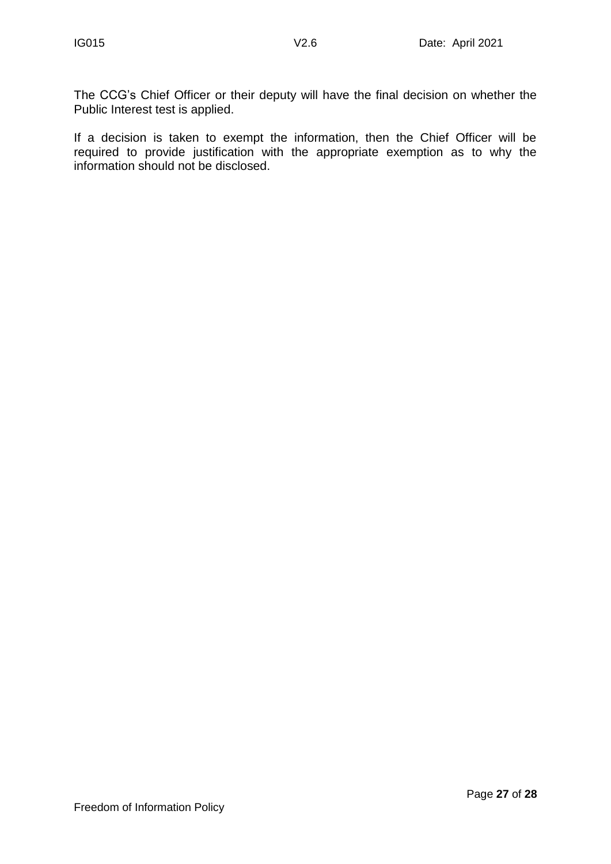The CCG's Chief Officer or their deputy will have the final decision on whether the Public Interest test is applied.

If a decision is taken to exempt the information, then the Chief Officer will be required to provide justification with the appropriate exemption as to why the information should not be disclosed.